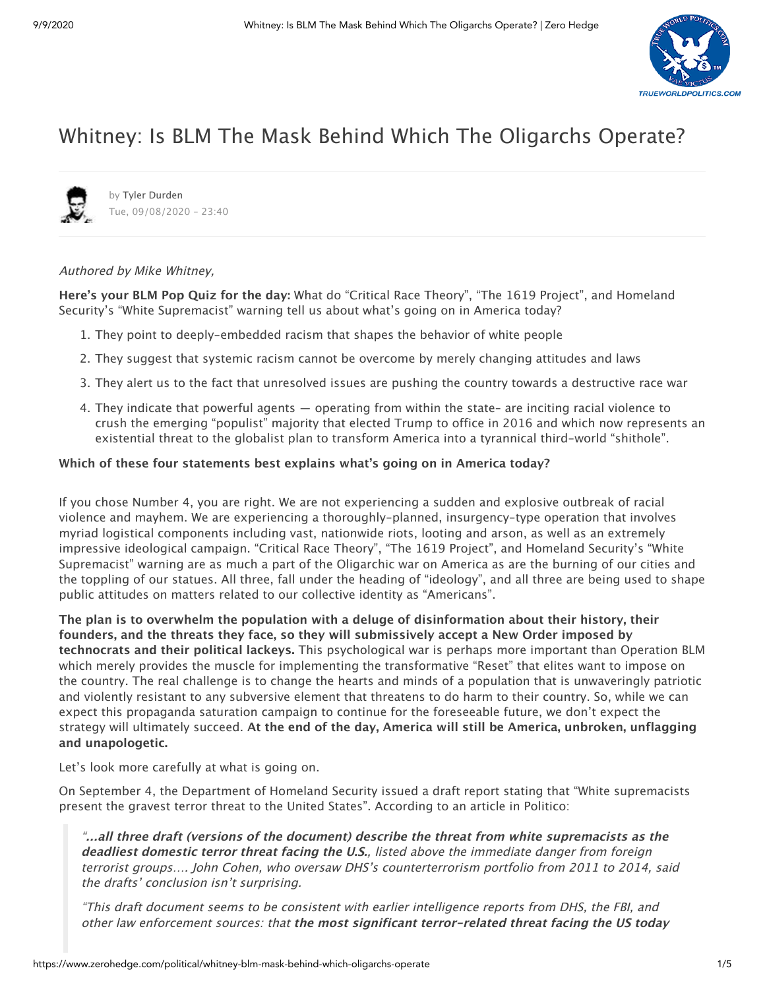

# Whitney: Is BLM The Mask Behind Which The Oligarchs Operate?



by Tyler [Durden](https://www.zerohedge.com/users/tyler-durden) Tue, 09/08/2020 - 23:40

## Authored by Mike Whitney,

**Here's your BLM Pop Quiz for the day:** What do "Critical Race Theory", "The 1619 Project", and Homeland Security's "White Supremacist" warning tell us about what's going on in America today?

- 1. They point to deeply-embedded racism that shapes the behavior of white people
- 2. They suggest that systemic racism cannot be overcome by merely changing attitudes and laws
- 3. They alert us to the fact that unresolved issues are pushing the country towards a destructive race war
- 4. They indicate that powerful agents operating from within the state– are inciting racial violence to crush the emerging "populist" majority that elected Trump to office in 2016 and which now represents an existential threat to the globalist plan to transform America into a tyrannical third-world "shithole".

### **Which of these four statements best explains what's going on in America today?**

If you chose Number 4, you are right. We are not experiencing a sudden and explosive outbreak of racial violence and mayhem. We are experiencing a thoroughly-planned, insurgency-type operation that involves myriad logistical components including vast, nationwide riots, looting and arson, as well as an extremely impressive ideological campaign. "Critical Race Theory", "The 1619 Project", and Homeland Security's "White Supremacist" warning are as much a part of the Oligarchic war on America as are the burning of our cities and the toppling of our statues. All three, fall under the heading of "ideology", and all three are being used to shape public attitudes on matters related to our collective identity as "Americans".

**The plan is to overwhelm the population with a deluge of disinformation about their history, their founders, and the threats they face, so they will submissively accept a New Order imposed by technocrats and their political lackeys.** This psychological war is perhaps more important than Operation BLM which merely provides the muscle for implementing the transformative "Reset" that elites want to impose on the country. The real challenge is to change the hearts and minds of a population that is unwaveringly patriotic and violently resistant to any subversive element that threatens to do harm to their country. So, while we can expect this propaganda saturation campaign to continue for the foreseeable future, we don't expect the strategy will ultimately succeed. **At the end of the day, America will still be America, unbroken, unflagging and unapologetic.**

Let's look more carefully at what is going on.

On September 4, the Department of Homeland Security issued a draft report stating that "White supremacists present the gravest terror threat to the United States". According to an article in Politico:

"**…all three draft (versions of the document) describe the threat from white supremacists as the deadliest domestic terror threat facing the U.S.**, listed above the immediate danger from foreign terrorist groups…. John Cohen, who oversaw DHS's counterterrorism portfolio from 2011 to 2014, said the drafts' conclusion isn't surprising.

"This draft document seems to be consistent with earlier intelligence reports from DHS, the FBI, and other law enforcement sources: that **the most significant terror-related threat facing the US today**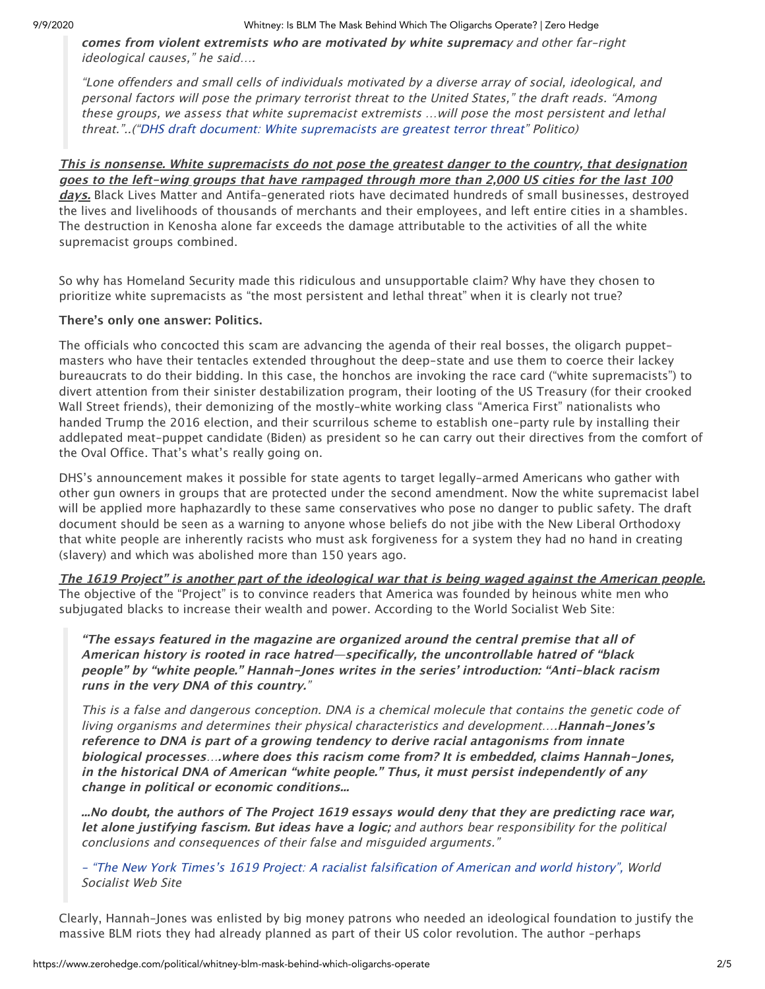#### 9/9/2020 Whitney: Is BLM The Mask Behind Which The Oligarchs Operate? | Zero Hedge

**comes from violent extremists who are motivated by white supremac**y and other far-right ideological causes," he said….

"Lone offenders and small cells of individuals motivated by a diverse array of social, ideological, and personal factors will pose the primary terrorist threat to the United States," the draft reads. "Among these groups, we assess that white supremacist extremists …will pose the most persistent and lethal threat."..("DHS draft document: White [supremacists](https://www.politico.com/news/2020/09/04/white-supremacists-terror-threat-dhs-409236) are greatest terror threat" Politico)

**This is nonsense. White supremacists do not pose the greatest danger to the country, that designation goes to the left-wing groups that have rampaged through more than 2,000 US cities for the last 100 days.** Black Lives Matter and Antifa-generated riots have decimated hundreds of small businesses, destroyed the lives and livelihoods of thousands of merchants and their employees, and left entire cities in a shambles. The destruction in Kenosha alone far exceeds the damage attributable to the activities of all the white supremacist groups combined.

So why has Homeland Security made this ridiculous and unsupportable claim? Why have they chosen to prioritize white supremacists as "the most persistent and lethal threat" when it is clearly not true?

## **There's only one answer: Politics.**

The officials who concocted this scam are advancing the agenda of their real bosses, the oligarch puppetmasters who have their tentacles extended throughout the deep-state and use them to coerce their lackey bureaucrats to do their bidding. In this case, the honchos are invoking the race card ("white supremacists") to divert attention from their sinister destabilization program, their looting of the US Treasury (for their crooked Wall Street friends), their demonizing of the mostly-white working class "America First" nationalists who handed Trump the 2016 election, and their scurrilous scheme to establish one-party rule by installing their addlepated meat-puppet candidate (Biden) as president so he can carry out their directives from the comfort of the Oval Office. That's what's really going on.

DHS's announcement makes it possible for state agents to target legally-armed Americans who gather with other gun owners in groups that are protected under the second amendment. Now the white supremacist label will be applied more haphazardly to these same conservatives who pose no danger to public safety. The draft document should be seen as a warning to anyone whose beliefs do not jibe with the New Liberal Orthodoxy that white people are inherently racists who must ask forgiveness for a system they had no hand in creating (slavery) and which was abolished more than 150 years ago.

**The 1619 Project" is another part of the ideological war that is being waged against the American people.** The objective of the "Project" is to convince readers that America was founded by heinous white men who subjugated blacks to increase their wealth and power. According to the World Socialist Web Site:

**"The essays featured in the magazine are organized around the central premise that all of American history is rooted in race hatred—specifically, the uncontrollable hatred of "black people" by "white people." Hannah-Jones writes in the series' introduction: "Anti-black racism runs in the very DNA of this country.**"

This is <sup>a</sup> false and dangerous conception. DNA is <sup>a</sup> chemical molecule that contains the genetic code of living organisms and determines their physical characteristics and development….**Hannah-Jones's reference to DNA is part of <sup>a</sup> growing tendency to derive racial antagonisms from innate biological processes**…**.where does this racism come from? It is embedded, claims Hannah-Jones, in the historical DNA of American "white people." Thus, it must persist independently of any change in political or economic conditions...**

**...No doubt, the authors of The Project 1619 essays would deny that they are predicting race war, let alone justifying fascism. But ideas have a logic;** and authors bear responsibility for the political conclusions and consequences of their false and misguided arguments."

- "The New York Times's [1619 Project:](https://www.wsws.org/en/articles/2019/09/06/1619-s06.html) A racialist falsification of American and world history", World Socialist Web Site

Clearly, Hannah-Jones was enlisted by big money patrons who needed an ideological foundation to justify the massive BLM riots they had already planned as part of their US color revolution. The author –perhaps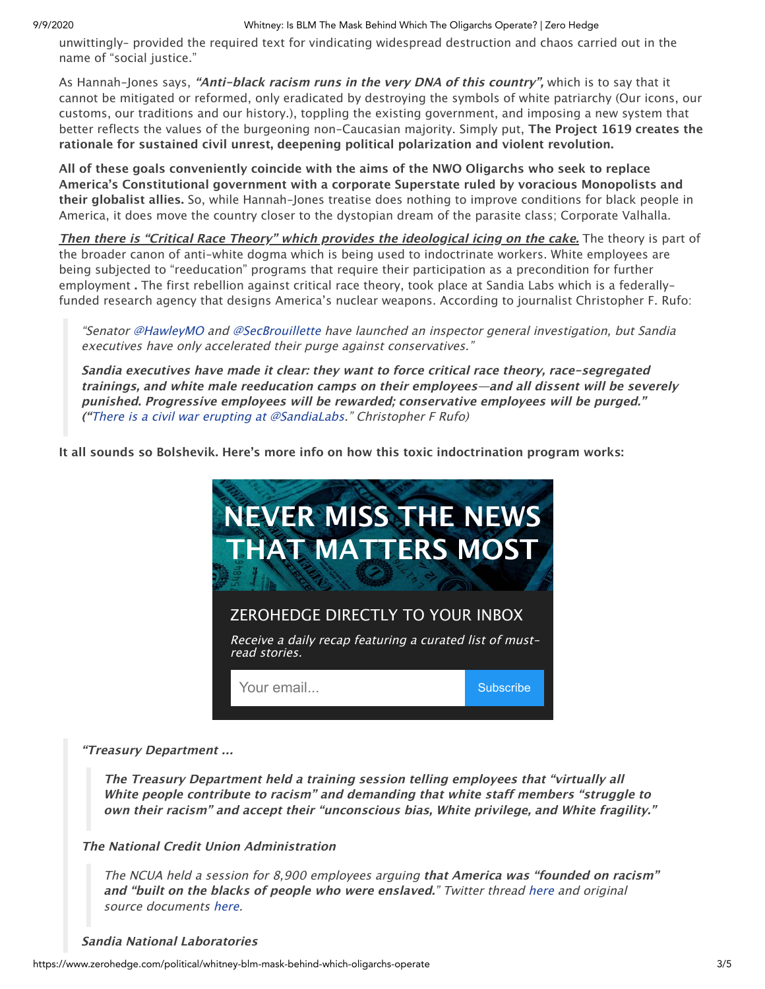#### 9/9/2020 Whitney: Is BLM The Mask Behind Which The Oligarchs Operate? | Zero Hedge

unwittingly– provided the required text for vindicating widespread destruction and chaos carried out in the name of "social justice."

As Hannah-Jones says, **"Anti-black racism runs in the very DNA of this country",** which is to say that it cannot be mitigated or reformed, only eradicated by destroying the symbols of white patriarchy (Our icons, our customs, our traditions and our history.), toppling the existing government, and imposing a new system that better reflects the values of the burgeoning non-Caucasian majority. Simply put, **The Project 1619 creates the rationale for sustained civil unrest, deepening political polarization and violent revolution.**

**All of these goals conveniently coincide with the aims of the NWO Oligarchs who seek to replace America's Constitutional government with a corporate Superstate ruled by voracious Monopolists and their globalist allies.** So, while Hannah-Jones treatise does nothing to improve conditions for black people in America, it does move the country closer to the dystopian dream of the parasite class; Corporate Valhalla.

**Then there is "Critical Race Theory" which provides the ideological icing on the cake.** The theory is part of the broader canon of anti-white dogma which is being used to indoctrinate workers. White employees are being subjected to "reeducation" programs that require their participation as a precondition for further employment **.** The first rebellion against critical race theory, took place at Sandia Labs which is a federallyfunded research agency that designs America's nuclear weapons. According to journalist Christopher F. Rufo:

"Senator [@HawleyMO](https://twitter.com/HawleyMO) and [@SecBrouillette](https://twitter.com/SecBrouillette) have launched an inspector general investigation, but Sandia executives have only accelerated their purge against conservatives."

**Sandia executives have made it clear: they want to force critical race theory, race-segregated trainings, and white male reeducation camps on their employees—and all dissent will be severely punished. Progressive employees will be rewarded; conservative employees will be purged." ("**There is <sup>a</sup> civil war [erupting](https://threadreaderapp.com/thread/1299008750729097216.html) at [@SandiaLabs](https://twitter.com/SandiaLabs)." Christopher F Rufo)

**It all sounds so Bolshevik. Here's more info on how this toxic indoctrination program works:**



## **"Treasury Department …**

**The Treasury Department held <sup>a</sup> training session telling employees that "virtually all White people contribute to racism" and demanding that white staff members "struggle to own their racism" and accept their "unconscious bias, White privilege, and White fragility."**

## **The National Credit Union Administration**

The NCUA held <sup>a</sup> session for 8,900 employees arguing **that America was "founded on racism" and "built on the blacks of people who were enslaved.**" Twitter thread [here](https://twitter.com/realchrisrufo/status/1285327502861189120) and original source documents [here](https://christopherrufo.com/national-credit-union-administrations-training-on-white-supremacy-and-systemic-racism/).

#### **Sandia National Laboratories**